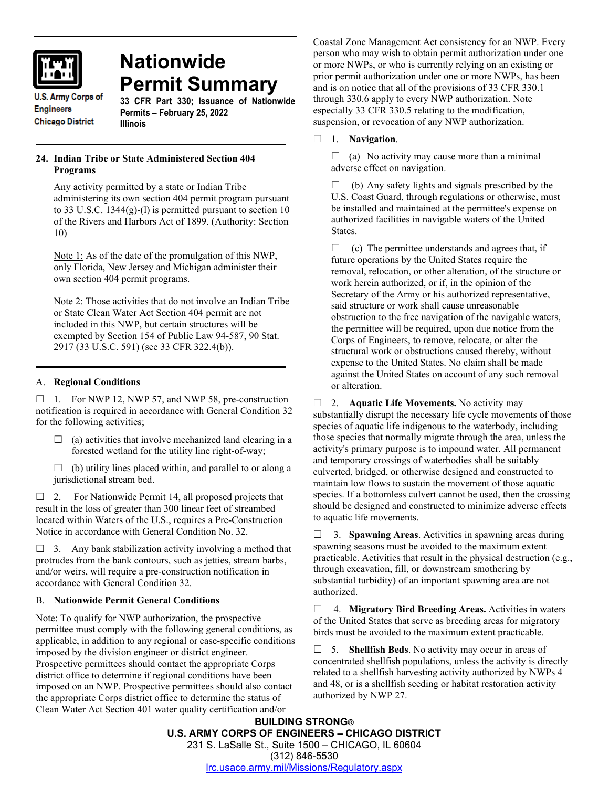

# **Nationwide Permit Summary**

**U.S. Army Corps of Engineers Chicago District** 

**33 CFR Part 330; Issuance of Nationwide Permits – February 25, 2022 Illinois**

# **24. Indian Tribe or State Administered Section 404 Programs**

Any activity permitted by a state or Indian Tribe administering its own section 404 permit program pursuant to 33 U.S.C. 1344(g)-(l) is permitted pursuant to section 10 of the Rivers and Harbors Act of 1899. (Authority: Section 10)

Note 1: As of the date of the promulgation of this NWP, only Florida, New Jersey and Michigan administer their own section 404 permit programs.

Note 2: Those activities that do not involve an Indian Tribe or State Clean Water Act Section 404 permit are not included in this NWP, but certain structures will be exempted by Section 154 of Public Law 94-587, 90 Stat. 2917 (33 U.S.C. 591) (see 33 CFR 322.4(b)).

# A. **Regional Conditions**

 $\Box$  1. For NWP 12, NWP 57, and NWP 58, pre-construction notification is required in accordance with General Condition 32 for the following activities;

- $\Box$  (a) activities that involve mechanized land clearing in a forested wetland for the utility line right-of-way;
- $\Box$  (b) utility lines placed within, and parallel to or along a jurisdictional stream bed.

 $\Box$  2. For Nationwide Permit 14, all proposed projects that result in the loss of greater than 300 linear feet of streambed located within Waters of the U.S., requires a Pre-Construction Notice in accordance with General Condition No. 32.

 $\Box$  3. Any bank stabilization activity involving a method that protrudes from the bank contours, such as jetties, stream barbs, and/or weirs, will require a pre-construction notification in accordance with General Condition 32.

## B. **Nationwide Permit General Conditions**

Note: To qualify for NWP authorization, the prospective permittee must comply with the following general conditions, as applicable, in addition to any regional or case-specific conditions imposed by the division engineer or district engineer. Prospective permittees should contact the appropriate Corps district office to determine if regional conditions have been imposed on an NWP. Prospective permittees should also contact the appropriate Corps district office to determine the status of Clean Water Act Section 401 water quality certification and/or

Coastal Zone Management Act consistency for an NWP. Every person who may wish to obtain permit authorization under one or more NWPs, or who is currently relying on an existing or prior permit authorization under one or more NWPs, has been and is on notice that all of the provisions of 33 CFR 330.1 through 330.6 apply to every NWP authorization. Note especially 33 CFR 330.5 relating to the modification, suspension, or revocation of any NWP authorization.

# 1. **Navigation**.

 $\Box$  (a) No activity may cause more than a minimal adverse effect on navigation.

 $\Box$  (b) Any safety lights and signals prescribed by the U.S. Coast Guard, through regulations or otherwise, must be installed and maintained at the permittee's expense on authorized facilities in navigable waters of the United States.

 $\Box$  (c) The permittee understands and agrees that, if future operations by the United States require the removal, relocation, or other alteration, of the structure or work herein authorized, or if, in the opinion of the Secretary of the Army or his authorized representative, said structure or work shall cause unreasonable obstruction to the free navigation of the navigable waters, the permittee will be required, upon due notice from the Corps of Engineers, to remove, relocate, or alter the structural work or obstructions caused thereby, without expense to the United States. No claim shall be made against the United States on account of any such removal or alteration.

□ 2. **Aquatic Life Movements.** No activity may substantially disrupt the necessary life cycle movements of those species of aquatic life indigenous to the waterbody, including those species that normally migrate through the area, unless the activity's primary purpose is to impound water. All permanent and temporary crossings of waterbodies shall be suitably culverted, bridged, or otherwise designed and constructed to maintain low flows to sustain the movement of those aquatic species. If a bottomless culvert cannot be used, then the crossing should be designed and constructed to minimize adverse effects to aquatic life movements.

 3. **Spawning Areas**. Activities in spawning areas during spawning seasons must be avoided to the maximum extent practicable. Activities that result in the physical destruction (e.g., through excavation, fill, or downstream smothering by substantial turbidity) of an important spawning area are not authorized.

 4. **Migratory Bird Breeding Areas.** Activities in waters of the United States that serve as breeding areas for migratory birds must be avoided to the maximum extent practicable.

 5. **Shellfish Beds**. No activity may occur in areas of concentrated shellfish populations, unless the activity is directly related to a shellfish harvesting activity authorized by NWPs 4 and 48, or is a shellfish seeding or habitat restoration activity authorized by NWP 27.

**BUILDING STRONG® U.S. ARMY CORPS OF ENGINEERS – CHICAGO DISTRICT** 231 S. LaSalle St., Suite 1500 – CHICAGO, IL 60604 (312) 846-5530 [lrc.usace.army.mil/Missions/Regulatory.aspx](https://www.lrc.usace.army.mil/Missions/Regulatory.aspx)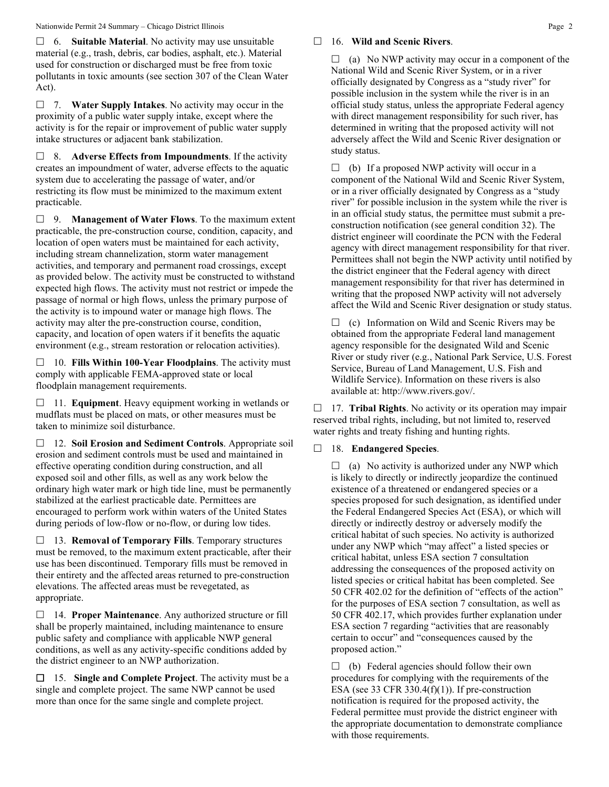6. **Suitable Material**. No activity may use unsuitable material (e.g., trash, debris, car bodies, asphalt, etc.). Material used for construction or discharged must be free from toxic pollutants in toxic amounts (see section 307 of the Clean Water Act).

 7. **Water Supply Intakes**. No activity may occur in the proximity of a public water supply intake, except where the activity is for the repair or improvement of public water supply intake structures or adjacent bank stabilization.

 8. **Adverse Effects from Impoundments**. If the activity creates an impoundment of water, adverse effects to the aquatic system due to accelerating the passage of water, and/or restricting its flow must be minimized to the maximum extent practicable.

 9. **Management of Water Flows**. To the maximum extent practicable, the pre-construction course, condition, capacity, and location of open waters must be maintained for each activity, including stream channelization, storm water management activities, and temporary and permanent road crossings, except as provided below. The activity must be constructed to withstand expected high flows. The activity must not restrict or impede the passage of normal or high flows, unless the primary purpose of the activity is to impound water or manage high flows. The activity may alter the pre-construction course, condition, capacity, and location of open waters if it benefits the aquatic environment (e.g., stream restoration or relocation activities).

 10. **Fills Within 100-Year Floodplains**. The activity must comply with applicable FEMA-approved state or local floodplain management requirements.

□ 11. **Equipment**. Heavy equipment working in wetlands or mudflats must be placed on mats, or other measures must be taken to minimize soil disturbance.

 12. **Soil Erosion and Sediment Controls**. Appropriate soil erosion and sediment controls must be used and maintained in effective operating condition during construction, and all exposed soil and other fills, as well as any work below the ordinary high water mark or high tide line, must be permanently stabilized at the earliest practicable date. Permittees are encouraged to perform work within waters of the United States during periods of low-flow or no-flow, or during low tides.

 13. **Removal of Temporary Fills**. Temporary structures must be removed, to the maximum extent practicable, after their use has been discontinued. Temporary fills must be removed in their entirety and the affected areas returned to pre-construction elevations. The affected areas must be revegetated, as appropriate.

 14. **Proper Maintenance**. Any authorized structure or fill shall be properly maintained, including maintenance to ensure public safety and compliance with applicable NWP general conditions, as well as any activity-specific conditions added by the district engineer to an NWP authorization.

 15. **Single and Complete Project**. The activity must be a single and complete project. The same NWP cannot be used more than once for the same single and complete project.

## 16. **Wild and Scenic Rivers**.

 $\Box$  (a) No NWP activity may occur in a component of the National Wild and Scenic River System, or in a river officially designated by Congress as a "study river" for possible inclusion in the system while the river is in an official study status, unless the appropriate Federal agency with direct management responsibility for such river, has determined in writing that the proposed activity will not adversely affect the Wild and Scenic River designation or study status.

 $\Box$  (b) If a proposed NWP activity will occur in a component of the National Wild and Scenic River System, or in a river officially designated by Congress as a "study river" for possible inclusion in the system while the river is in an official study status, the permittee must submit a preconstruction notification (see general condition 32). The district engineer will coordinate the PCN with the Federal agency with direct management responsibility for that river. Permittees shall not begin the NWP activity until notified by the district engineer that the Federal agency with direct management responsibility for that river has determined in writing that the proposed NWP activity will not adversely affect the Wild and Scenic River designation or study status.

 $\Box$  (c) Information on Wild and Scenic Rivers may be obtained from the appropriate Federal land management agency responsible for the designated Wild and Scenic River or study river (e.g., National Park Service, U.S. Forest Service, Bureau of Land Management, U.S. Fish and Wildlife Service). Information on these rivers is also available at: http://www.rivers.gov/.

□ 17. **Tribal Rights**. No activity or its operation may impair reserved tribal rights, including, but not limited to, reserved water rights and treaty fishing and hunting rights.

## 18. **Endangered Species**.

 $\Box$  (a) No activity is authorized under any NWP which is likely to directly or indirectly jeopardize the continued existence of a threatened or endangered species or a species proposed for such designation, as identified under the Federal Endangered Species Act (ESA), or which will directly or indirectly destroy or adversely modify the critical habitat of such species. No activity is authorized under any NWP which "may affect" a listed species or critical habitat, unless ESA section 7 consultation addressing the consequences of the proposed activity on listed species or critical habitat has been completed. See 50 CFR 402.02 for the definition of "effects of the action" for the purposes of ESA section 7 consultation, as well as 50 CFR 402.17, which provides further explanation under ESA section 7 regarding "activities that are reasonably certain to occur" and "consequences caused by the proposed action."

 $\Box$  (b) Federal agencies should follow their own procedures for complying with the requirements of the ESA (see 33 CFR 330.4 $(f)(1)$ ). If pre-construction notification is required for the proposed activity, the Federal permittee must provide the district engineer with the appropriate documentation to demonstrate compliance with those requirements.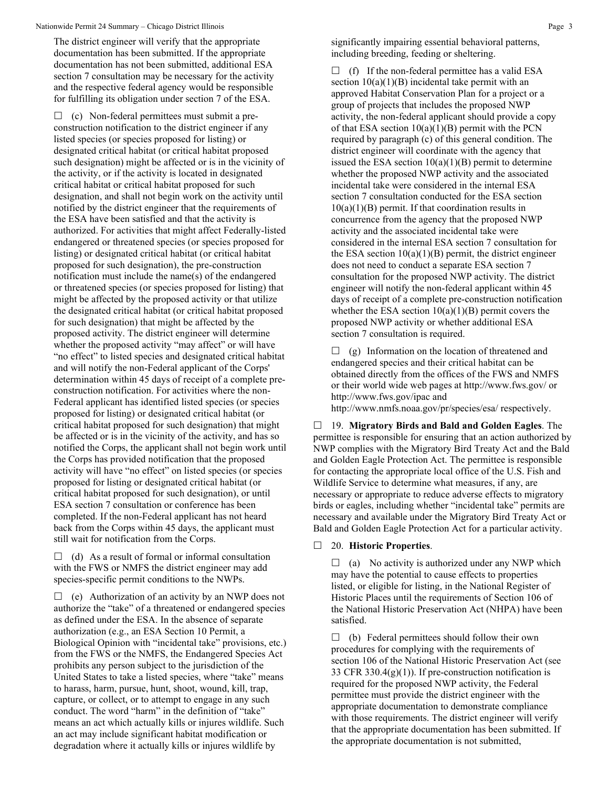The district engineer will verify that the appropriate documentation has been submitted. If the appropriate documentation has not been submitted, additional ESA section 7 consultation may be necessary for the activity and the respective federal agency would be responsible for fulfilling its obligation under section 7 of the ESA.

 $\Box$  (c) Non-federal permittees must submit a preconstruction notification to the district engineer if any listed species (or species proposed for listing) or designated critical habitat (or critical habitat proposed such designation) might be affected or is in the vicinity of the activity, or if the activity is located in designated critical habitat or critical habitat proposed for such designation, and shall not begin work on the activity until notified by the district engineer that the requirements of the ESA have been satisfied and that the activity is authorized. For activities that might affect Federally-listed endangered or threatened species (or species proposed for listing) or designated critical habitat (or critical habitat proposed for such designation), the pre-construction notification must include the name(s) of the endangered or threatened species (or species proposed for listing) that might be affected by the proposed activity or that utilize the designated critical habitat (or critical habitat proposed for such designation) that might be affected by the proposed activity. The district engineer will determine whether the proposed activity "may affect" or will have "no effect" to listed species and designated critical habitat and will notify the non-Federal applicant of the Corps' determination within 45 days of receipt of a complete preconstruction notification. For activities where the non-Federal applicant has identified listed species (or species proposed for listing) or designated critical habitat (or critical habitat proposed for such designation) that might be affected or is in the vicinity of the activity, and has so notified the Corps, the applicant shall not begin work until the Corps has provided notification that the proposed activity will have "no effect" on listed species (or species proposed for listing or designated critical habitat (or critical habitat proposed for such designation), or until ESA section 7 consultation or conference has been completed. If the non-Federal applicant has not heard back from the Corps within 45 days, the applicant must still wait for notification from the Corps.

 $\Box$  (d) As a result of formal or informal consultation with the FWS or NMFS the district engineer may add species-specific permit conditions to the NWPs.

 $\Box$  (e) Authorization of an activity by an NWP does not authorize the "take" of a threatened or endangered species as defined under the ESA. In the absence of separate authorization (e.g., an ESA Section 10 Permit, a Biological Opinion with "incidental take" provisions, etc.) from the FWS or the NMFS, the Endangered Species Act prohibits any person subject to the jurisdiction of the United States to take a listed species, where "take" means to harass, harm, pursue, hunt, shoot, wound, kill, trap, capture, or collect, or to attempt to engage in any such conduct. The word "harm" in the definition of "take" means an act which actually kills or injures wildlife. Such an act may include significant habitat modification or degradation where it actually kills or injures wildlife by

significantly impairing essential behavioral patterns, including breeding, feeding or sheltering.

 $\Box$  (f) If the non-federal permittee has a valid ESA section  $10(a)(1)(B)$  incidental take permit with an approved Habitat Conservation Plan for a project or a group of projects that includes the proposed NWP activity, the non-federal applicant should provide a copy of that ESA section  $10(a)(1)(B)$  permit with the PCN required by paragraph (c) of this general condition. The district engineer will coordinate with the agency that issued the ESA section  $10(a)(1)(B)$  permit to determine whether the proposed NWP activity and the associated incidental take were considered in the internal ESA section 7 consultation conducted for the ESA section  $10(a)(1)(B)$  permit. If that coordination results in concurrence from the agency that the proposed NWP activity and the associated incidental take were considered in the internal ESA section 7 consultation for the ESA section  $10(a)(1)(B)$  permit, the district engineer does not need to conduct a separate ESA section 7 consultation for the proposed NWP activity. The district engineer will notify the non-federal applicant within 45 days of receipt of a complete pre-construction notification whether the ESA section  $10(a)(1)(B)$  permit covers the proposed NWP activity or whether additional ESA section 7 consultation is required.

 $\Box$  (g) Information on the location of threatened and endangered species and their critical habitat can be obtained directly from the offices of the FWS and NMFS or their world wide web pages at http://www.fws.gov/ or http://www.fws.gov/ipac and http://www.nmfs.noaa.gov/pr/species/esa/ respectively.

 19. **Migratory Birds and Bald and Golden Eagles**. The permittee is responsible for ensuring that an action authorized by NWP complies with the Migratory Bird Treaty Act and the Bald and Golden Eagle Protection Act. The permittee is responsible for contacting the appropriate local office of the U.S. Fish and Wildlife Service to determine what measures, if any, are necessary or appropriate to reduce adverse effects to migratory birds or eagles, including whether "incidental take" permits are necessary and available under the Migratory Bird Treaty Act or Bald and Golden Eagle Protection Act for a particular activity.

#### 20. **Historic Properties**.

 $\Box$  (a) No activity is authorized under any NWP which may have the potential to cause effects to properties listed, or eligible for listing, in the National Register of Historic Places until the requirements of Section 106 of the National Historic Preservation Act (NHPA) have been satisfied.

 $\Box$  (b) Federal permittees should follow their own procedures for complying with the requirements of section 106 of the National Historic Preservation Act (see 33 CFR 330.4(g)(1)). If pre-construction notification is required for the proposed NWP activity, the Federal permittee must provide the district engineer with the appropriate documentation to demonstrate compliance with those requirements. The district engineer will verify that the appropriate documentation has been submitted. If the appropriate documentation is not submitted,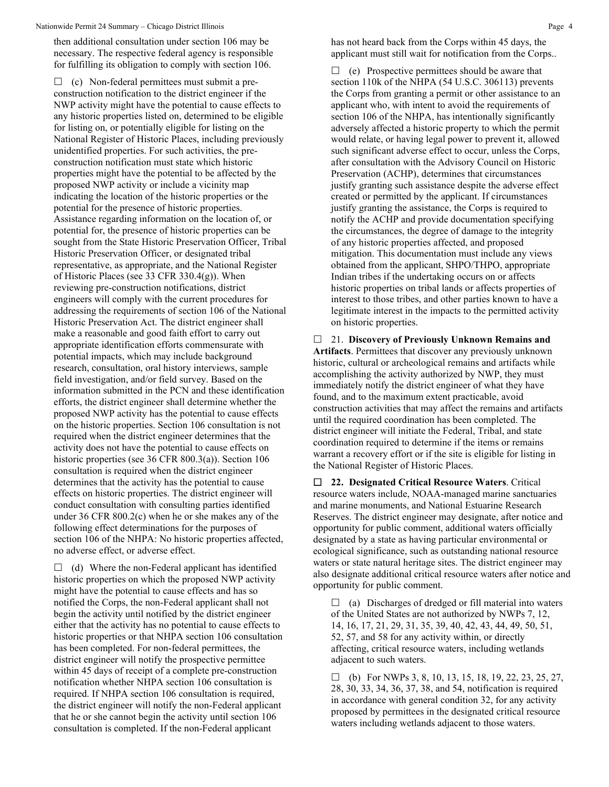then additional consultation under section 106 may be necessary. The respective federal agency is responsible for fulfilling its obligation to comply with section 106.

 $\Box$  (c) Non-federal permittees must submit a preconstruction notification to the district engineer if the NWP activity might have the potential to cause effects to any historic properties listed on, determined to be eligible for listing on, or potentially eligible for listing on the National Register of Historic Places, including previously unidentified properties. For such activities, the preconstruction notification must state which historic properties might have the potential to be affected by the proposed NWP activity or include a vicinity map indicating the location of the historic properties or the potential for the presence of historic properties. Assistance regarding information on the location of, or potential for, the presence of historic properties can be sought from the State Historic Preservation Officer, Tribal Historic Preservation Officer, or designated tribal representative, as appropriate, and the National Register of Historic Places (see 33 CFR 330.4(g)). When reviewing pre-construction notifications, district engineers will comply with the current procedures for addressing the requirements of section 106 of the National Historic Preservation Act. The district engineer shall make a reasonable and good faith effort to carry out appropriate identification efforts commensurate with potential impacts, which may include background research, consultation, oral history interviews, sample field investigation, and/or field survey. Based on the information submitted in the PCN and these identification efforts, the district engineer shall determine whether the proposed NWP activity has the potential to cause effects on the historic properties. Section 106 consultation is not required when the district engineer determines that the activity does not have the potential to cause effects on historic properties (see 36 CFR 800.3(a)). Section 106 consultation is required when the district engineer determines that the activity has the potential to cause effects on historic properties. The district engineer will conduct consultation with consulting parties identified under 36 CFR 800.2(c) when he or she makes any of the following effect determinations for the purposes of section 106 of the NHPA: No historic properties affected, no adverse effect, or adverse effect.

 $\Box$  (d) Where the non-Federal applicant has identified historic properties on which the proposed NWP activity might have the potential to cause effects and has so notified the Corps, the non-Federal applicant shall not begin the activity until notified by the district engineer either that the activity has no potential to cause effects to historic properties or that NHPA section 106 consultation has been completed. For non-federal permittees, the district engineer will notify the prospective permittee within 45 days of receipt of a complete pre-construction notification whether NHPA section 106 consultation is required. If NHPA section 106 consultation is required, the district engineer will notify the non-Federal applicant that he or she cannot begin the activity until section 106 consultation is completed. If the non-Federal applicant

has not heard back from the Corps within 45 days, the applicant must still wait for notification from the Corps..

 $\Box$  (e) Prospective permittees should be aware that section 110k of the NHPA (54 U.S.C. 306113) prevents the Corps from granting a permit or other assistance to an applicant who, with intent to avoid the requirements of section 106 of the NHPA, has intentionally significantly adversely affected a historic property to which the permit would relate, or having legal power to prevent it, allowed such significant adverse effect to occur, unless the Corps, after consultation with the Advisory Council on Historic Preservation (ACHP), determines that circumstances justify granting such assistance despite the adverse effect created or permitted by the applicant. If circumstances justify granting the assistance, the Corps is required to notify the ACHP and provide documentation specifying the circumstances, the degree of damage to the integrity of any historic properties affected, and proposed mitigation. This documentation must include any views obtained from the applicant, SHPO/THPO, appropriate Indian tribes if the undertaking occurs on or affects historic properties on tribal lands or affects properties of interest to those tribes, and other parties known to have a legitimate interest in the impacts to the permitted activity on historic properties.

 21. **Discovery of Previously Unknown Remains and Artifacts**. Permittees that discover any previously unknown historic, cultural or archeological remains and artifacts while accomplishing the activity authorized by NWP, they must immediately notify the district engineer of what they have found, and to the maximum extent practicable, avoid construction activities that may affect the remains and artifacts until the required coordination has been completed. The district engineer will initiate the Federal, Tribal, and state coordination required to determine if the items or remains warrant a recovery effort or if the site is eligible for listing in the National Register of Historic Places.

 **22. Designated Critical Resource Waters**. Critical resource waters include, NOAA-managed marine sanctuaries and marine monuments, and National Estuarine Research Reserves. The district engineer may designate, after notice and opportunity for public comment, additional waters officially designated by a state as having particular environmental or ecological significance, such as outstanding national resource waters or state natural heritage sites. The district engineer may also designate additional critical resource waters after notice and opportunity for public comment.

 $\Box$  (a) Discharges of dredged or fill material into waters of the United States are not authorized by NWPs 7, 12, 14, 16, 17, 21, 29, 31, 35, 39, 40, 42, 43, 44, 49, 50, 51, 52, 57, and 58 for any activity within, or directly affecting, critical resource waters, including wetlands adjacent to such waters.

 $\Box$  (b) For NWPs 3, 8, 10, 13, 15, 18, 19, 22, 23, 25, 27, 28, 30, 33, 34, 36, 37, 38, and 54, notification is required in accordance with general condition 32, for any activity proposed by permittees in the designated critical resource waters including wetlands adjacent to those waters.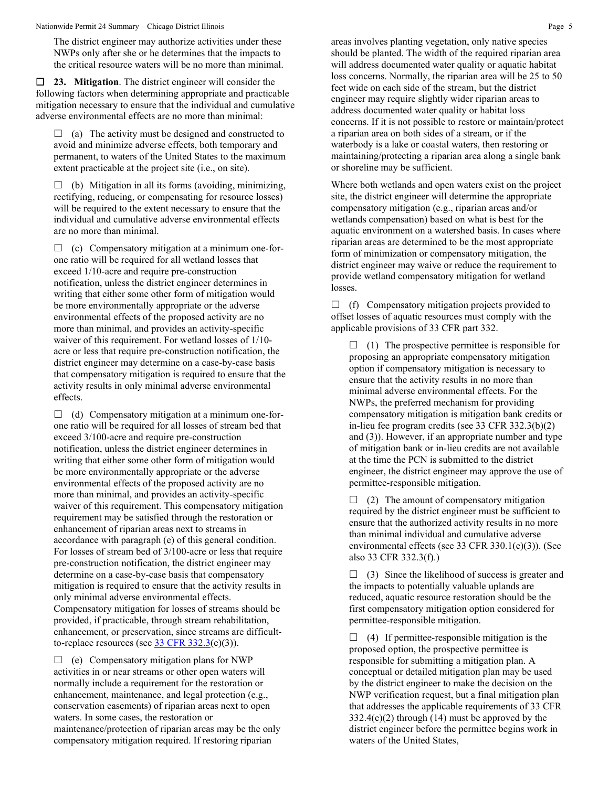The district engineer may authorize activities under these NWPs only after she or he determines that the impacts to the critical resource waters will be no more than minimal.

 **23. Mitigation**. The district engineer will consider the following factors when determining appropriate and practicable mitigation necessary to ensure that the individual and cumulative adverse environmental effects are no more than minimal:

 $\Box$  (a) The activity must be designed and constructed to avoid and minimize adverse effects, both temporary and permanent, to waters of the United States to the maximum extent practicable at the project site (i.e., on site).

 $\Box$  (b) Mitigation in all its forms (avoiding, minimizing, rectifying, reducing, or compensating for resource losses) will be required to the extent necessary to ensure that the individual and cumulative adverse environmental effects are no more than minimal.

 $\Box$  (c) Compensatory mitigation at a minimum one-forone ratio will be required for all wetland losses that exceed 1/10-acre and require pre-construction notification, unless the district engineer determines in writing that either some other form of mitigation would be more environmentally appropriate or the adverse environmental effects of the proposed activity are no more than minimal, and provides an activity-specific waiver of this requirement. For wetland losses of 1/10 acre or less that require pre-construction notification, the district engineer may determine on a case-by-case basis that compensatory mitigation is required to ensure that the activity results in only minimal adverse environmental effects.

 $\Box$  (d) Compensatory mitigation at a minimum one-forone ratio will be required for all losses of stream bed that exceed 3/100-acre and require pre-construction notification, unless the district engineer determines in writing that either some other form of mitigation would be more environmentally appropriate or the adverse environmental effects of the proposed activity are no more than minimal, and provides an activity-specific waiver of this requirement. This compensatory mitigation requirement may be satisfied through the restoration or enhancement of riparian areas next to streams in accordance with paragraph (e) of this general condition. For losses of stream bed of 3/100-acre or less that require pre-construction notification, the district engineer may determine on a case-by-case basis that compensatory mitigation is required to ensure that the activity results in only minimal adverse environmental effects. Compensatory mitigation for losses of streams should be provided, if practicable, through stream rehabilitation, enhancement, or preservation, since streams are difficultto-replace resources (see  $33 \text{ CFR } 332.3(e)(3)$ ).

 $\Box$  (e) Compensatory mitigation plans for NWP activities in or near streams or other open waters will normally include a requirement for the restoration or enhancement, maintenance, and legal protection (e.g., conservation easements) of riparian areas next to open waters. In some cases, the restoration or maintenance/protection of riparian areas may be the only compensatory mitigation required. If restoring riparian

areas involves planting vegetation, only native species should be planted. The width of the required riparian area will address documented water quality or aquatic habitat loss concerns. Normally, the riparian area will be 25 to 50 feet wide on each side of the stream, but the district engineer may require slightly wider riparian areas to address documented water quality or habitat loss concerns. If it is not possible to restore or maintain/protect a riparian area on both sides of a stream, or if the waterbody is a lake or coastal waters, then restoring or maintaining/protecting a riparian area along a single bank or shoreline may be sufficient.

Where both wetlands and open waters exist on the project site, the district engineer will determine the appropriate compensatory mitigation (e.g., riparian areas and/or wetlands compensation) based on what is best for the aquatic environment on a watershed basis. In cases where riparian areas are determined to be the most appropriate form of minimization or compensatory mitigation, the district engineer may waive or reduce the requirement to provide wetland compensatory mitigation for wetland losses.

 $\Box$  (f) Compensatory mitigation projects provided to offset losses of aquatic resources must comply with the applicable provisions of 33 CFR part 332.

 $\Box$  (1) The prospective permittee is responsible for proposing an appropriate compensatory mitigation option if compensatory mitigation is necessary to ensure that the activity results in no more than minimal adverse environmental effects. For the NWPs, the preferred mechanism for providing compensatory mitigation is mitigation bank credits or in-lieu fee program credits (see 33 CFR 332.3(b)(2) and (3)). However, if an appropriate number and type of mitigation bank or in-lieu credits are not available at the time the PCN is submitted to the district engineer, the district engineer may approve the use of permittee-responsible mitigation.

 $\Box$  (2) The amount of compensatory mitigation required by the district engineer must be sufficient to ensure that the authorized activity results in no more than minimal individual and cumulative adverse environmental effects (see 33 CFR 330.1(e)(3)). (See also 33 CFR 332.3(f).)

 $\Box$  (3) Since the likelihood of success is greater and the impacts to potentially valuable uplands are reduced, aquatic resource restoration should be the first compensatory mitigation option considered for permittee-responsible mitigation.

 $\Box$  (4) If permittee-responsible mitigation is the proposed option, the prospective permittee is responsible for submitting a mitigation plan. A conceptual or detailed mitigation plan may be used by the district engineer to make the decision on the NWP verification request, but a final mitigation plan that addresses the applicable requirements of 33 CFR  $332.4(c)(2)$  through (14) must be approved by the district engineer before the permittee begins work in waters of the United States,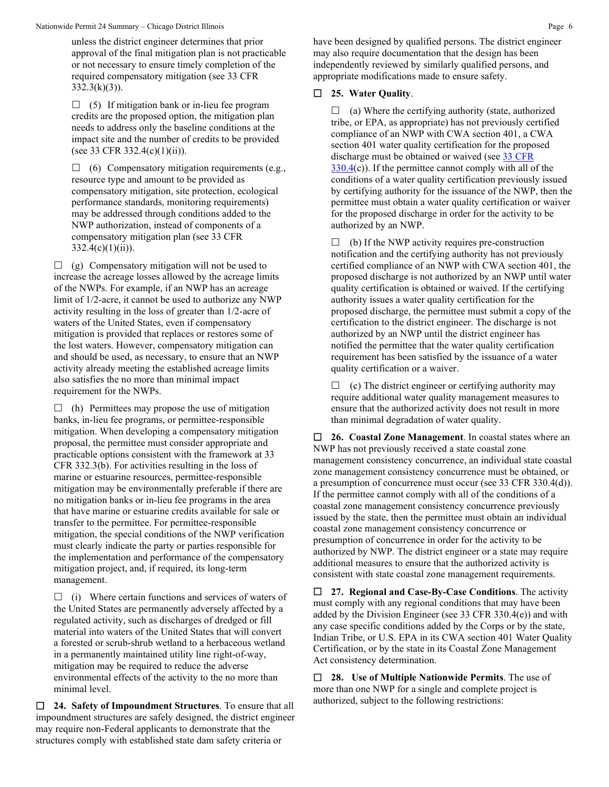unless the district engineer determines that prior approval of the final mitigation plan is not practicable or not necessary to ensure timely completion of the required compensatory mitigation (see 33 CFR  $332.3(k)(3)$ ).

 $\Box$  (5) If mitigation bank or in-lieu fee program credits are the proposed option, the mitigation plan needs to address only the baseline conditions at the impact site and the number of credits to be provided (see 33 CFR 332.4(c)(1)(ii)).

 $\Box$  (6) Compensatory mitigation requirements (e.g., resource type and amount to be provided as compensatory mitigation, site protection, ecological performance standards, monitoring requirements) may be addressed through conditions added to the NWP authorization, instead of components of a compensatory mitigation plan (see 33 CFR  $332.4(c)(1)(ii)$ .

 $\Box$  (g) Compensatory mitigation will not be used to increase the acreage losses allowed by the acreage limits of the NWPs. For example, if an NWP has an acreage limit of 1/2-acre, it cannot be used to authorize any NWP activity resulting in the loss of greater than 1/2-acre of waters of the United States, even if compensatory mitigation is provided that replaces or restores some of the lost waters. However, compensatory mitigation can and should be used, as necessary, to ensure that an NWP activity already meeting the established acreage limits also satisfies the no more than minimal impact requirement for the NWPs.

 $\Box$  (h) Permittees may propose the use of mitigation banks, in-lieu fee programs, or permittee-responsible mitigation. When developing a compensatory mitigation proposal, the permittee must consider appropriate and practicable options consistent with the framework at 33 CFR 332.3(b). For activities resulting in the loss of marine or estuarine resources, permittee-responsible mitigation may be environmentally preferable if there are no mitigation banks or in-lieu fee programs in the area that have marine or estuarine credits available for sale or transfer to the permittee. For permittee-responsible mitigation, the special conditions of the NWP verification must clearly indicate the party or parties responsible for the implementation and performance of the compensatory mitigation project, and, if required, its long-term management.

 $\Box$  (i) Where certain functions and services of waters of the United States are permanently adversely affected by a regulated activity, such as discharges of dredged or fill material into waters of the United States that will convert a forested or scrub-shrub wetland to a herbaceous wetland in a permanently maintained utility line right-of-way, mitigation may be required to reduce the adverse environmental effects of the activity to the no more than minimal level.

 **24. Safety of Impoundment Structures**. To ensure that all impoundment structures are safely designed, the district engineer may require non-Federal applicants to demonstrate that the structures comply with established state dam safety criteria or

have been designed by qualified persons. The district engineer may also require documentation that the design has been independently reviewed by similarly qualified persons, and appropriate modifications made to ensure safety.

## **25. Water Quality**.

 $\Box$  (a) Where the certifying authority (state, authorized tribe, or EPA, as appropriate) has not previously certified compliance of an NWP with CWA section 401, a CWA section 401 water quality certification for the proposed discharge must be obtained or waived (see [33 CFR](https://www.federalregister.gov/select-citation/2021/01/13/33-CFR-330.4)  [330.4\(](https://www.federalregister.gov/select-citation/2021/01/13/33-CFR-330.4)c)). If the permittee cannot comply with all of the conditions of a water quality certification previously issued by certifying authority for the issuance of the NWP, then the permittee must obtain a water quality certification or waiver for the proposed discharge in order for the activity to be authorized by an NWP.

 $\Box$  (b) If the NWP activity requires pre-construction notification and the certifying authority has not previously certified compliance of an NWP with CWA section 401, the proposed discharge is not authorized by an NWP until water quality certification is obtained or waived. If the certifying authority issues a water quality certification for the proposed discharge, the permittee must submit a copy of the certification to the district engineer. The discharge is not authorized by an NWP until the district engineer has notified the permittee that the water quality certification requirement has been satisfied by the issuance of a water quality certification or a waiver.

 $\Box$  (c) The district engineer or certifying authority may require additional water quality management measures to ensure that the authorized activity does not result in more than minimal degradation of water quality.

 **26. Coastal Zone Management**. In coastal states where an NWP has not previously received a state coastal zone management consistency concurrence, an individual state coastal zone management consistency concurrence must be obtained, or a presumption of concurrence must occur (see 33 CFR 330.4(d)). If the permittee cannot comply with all of the conditions of a coastal zone management consistency concurrence previously issued by the state, then the permittee must obtain an individual coastal zone management consistency concurrence or presumption of concurrence in order for the activity to be authorized by NWP. The district engineer or a state may require additional measures to ensure that the authorized activity is consistent with state coastal zone management requirements.

 **27. Regional and Case-By-Case Conditions**. The activity must comply with any regional conditions that may have been added by the Division Engineer (see 33 CFR 330.4(e)) and with any case specific conditions added by the Corps or by the state, Indian Tribe, or U.S. EPA in its CWA section 401 Water Quality Certification, or by the state in its Coastal Zone Management Act consistency determination.

 **28. Use of Multiple Nationwide Permits**. The use of more than one NWP for a single and complete project is authorized, subject to the following restrictions: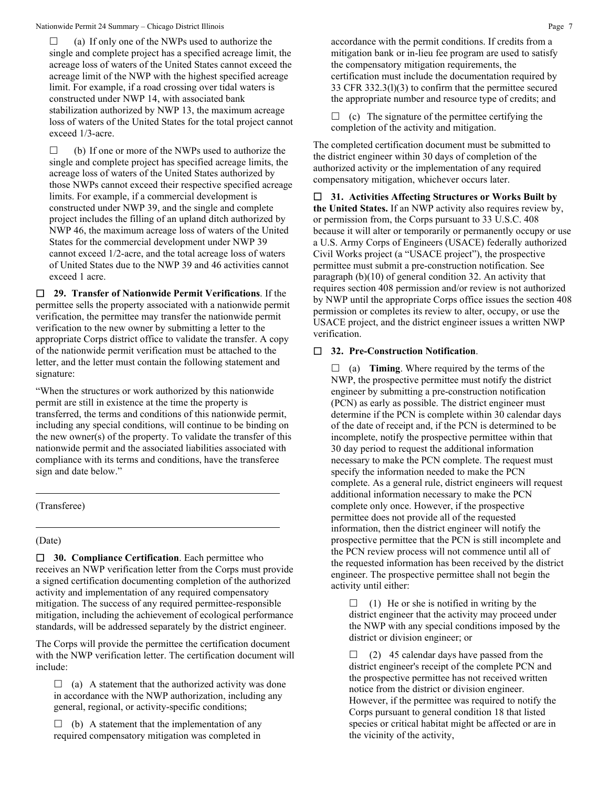$\Box$  (a) If only one of the NWPs used to authorize the single and complete project has a specified acreage limit, the acreage loss of waters of the United States cannot exceed the acreage limit of the NWP with the highest specified acreage limit. For example, if a road crossing over tidal waters is constructed under NWP 14, with associated bank stabilization authorized by NWP 13, the maximum acreage loss of waters of the United States for the total project cannot exceed 1/3-acre.

 $\Box$  (b) If one or more of the NWPs used to authorize the single and complete project has specified acreage limits, the acreage loss of waters of the United States authorized by those NWPs cannot exceed their respective specified acreage limits. For example, if a commercial development is constructed under NWP 39, and the single and complete project includes the filling of an upland ditch authorized by NWP 46, the maximum acreage loss of waters of the United States for the commercial development under NWP 39 cannot exceed 1/2-acre, and the total acreage loss of waters of United States due to the NWP 39 and 46 activities cannot exceed 1 acre.

 **29. Transfer of Nationwide Permit Verifications**. If the permittee sells the property associated with a nationwide permit verification, the permittee may transfer the nationwide permit verification to the new owner by submitting a letter to the appropriate Corps district office to validate the transfer. A copy of the nationwide permit verification must be attached to the letter, and the letter must contain the following statement and signature:

"When the structures or work authorized by this nationwide permit are still in existence at the time the property is transferred, the terms and conditions of this nationwide permit, including any special conditions, will continue to be binding on the new owner(s) of the property. To validate the transfer of this nationwide permit and the associated liabilities associated with compliance with its terms and conditions, have the transferee sign and date below."

### (Transferee)

### (Date)

 **30. Compliance Certification**. Each permittee who receives an NWP verification letter from the Corps must provide a signed certification documenting completion of the authorized activity and implementation of any required compensatory mitigation. The success of any required permittee-responsible mitigation, including the achievement of ecological performance standards, will be addressed separately by the district engineer.

The Corps will provide the permittee the certification document with the NWP verification letter. The certification document will include:

 $\Box$  (a) A statement that the authorized activity was done in accordance with the NWP authorization, including any general, regional, or activity-specific conditions;

 $\Box$  (b) A statement that the implementation of any required compensatory mitigation was completed in accordance with the permit conditions. If credits from a mitigation bank or in-lieu fee program are used to satisfy the compensatory mitigation requirements, the certification must include the documentation required by 33 CFR 332.3(l)(3) to confirm that the permittee secured the appropriate number and resource type of credits; and

 $\Box$  (c) The signature of the permittee certifying the completion of the activity and mitigation.

The completed certification document must be submitted to the district engineer within 30 days of completion of the authorized activity or the implementation of any required compensatory mitigation, whichever occurs later.

 **31. Activities Affecting Structures or Works Built by the United States.** If an NWP activity also requires review by, or permission from, the Corps pursuant to 33 U.S.C. 408 because it will alter or temporarily or permanently occupy or use a U.S. Army Corps of Engineers (USACE) federally authorized Civil Works project (a "USACE project"), the prospective permittee must submit a pre-construction notification. See paragraph (b)(10) of general condition 32. An activity that requires section 408 permission and/or review is not authorized by NWP until the appropriate Corps office issues the section 408 permission or completes its review to alter, occupy, or use the USACE project, and the district engineer issues a written NWP verification.

## **32. Pre-Construction Notification**.

 $\Box$  (a) **Timing**. Where required by the terms of the NWP, the prospective permittee must notify the district engineer by submitting a pre-construction notification (PCN) as early as possible. The district engineer must determine if the PCN is complete within 30 calendar days of the date of receipt and, if the PCN is determined to be incomplete, notify the prospective permittee within that 30 day period to request the additional information necessary to make the PCN complete. The request must specify the information needed to make the PCN complete. As a general rule, district engineers will request additional information necessary to make the PCN complete only once. However, if the prospective permittee does not provide all of the requested information, then the district engineer will notify the prospective permittee that the PCN is still incomplete and the PCN review process will not commence until all of the requested information has been received by the district engineer. The prospective permittee shall not begin the activity until either:

 $\Box$  (1) He or she is notified in writing by the district engineer that the activity may proceed under the NWP with any special conditions imposed by the district or division engineer; or

 $\Box$  (2) 45 calendar days have passed from the district engineer's receipt of the complete PCN and the prospective permittee has not received written notice from the district or division engineer. However, if the permittee was required to notify the Corps pursuant to general condition 18 that listed species or critical habitat might be affected or are in the vicinity of the activity,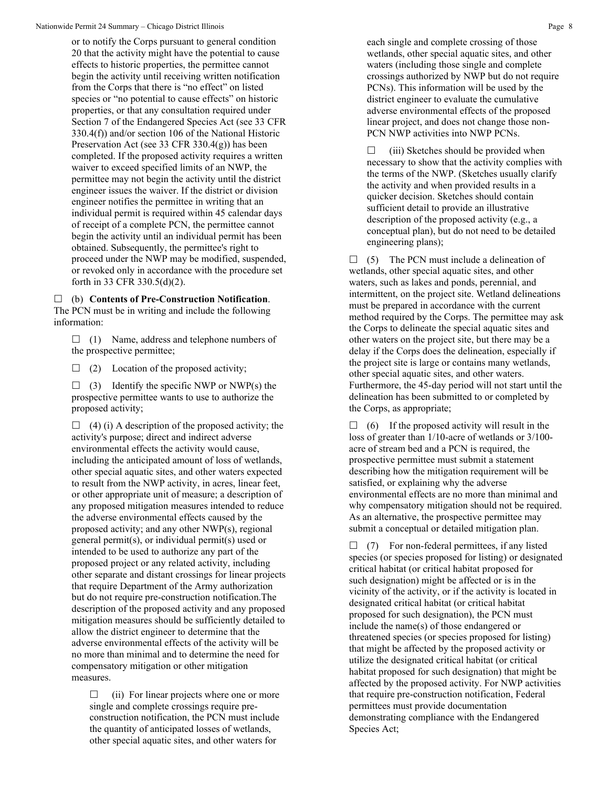or to notify the Corps pursuant to general condition 20 that the activity might have the potential to cause effects to historic properties, the permittee cannot begin the activity until receiving written notification from the Corps that there is "no effect" on listed species or "no potential to cause effects" on historic properties, or that any consultation required under Section 7 of the Endangered Species Act (see 33 CFR 330.4(f)) and/or section 106 of the National Historic Preservation Act (see 33 CFR 330.4(g)) has been completed. If the proposed activity requires a written waiver to exceed specified limits of an NWP, the permittee may not begin the activity until the district engineer issues the waiver. If the district or division engineer notifies the permittee in writing that an individual permit is required within 45 calendar days of receipt of a complete PCN, the permittee cannot begin the activity until an individual permit has been obtained. Subsequently, the permittee's right to proceed under the NWP may be modified, suspended, or revoked only in accordance with the procedure set forth in 33 CFR 330.5(d)(2).

 (b) **Contents of Pre-Construction Notification**. The PCN must be in writing and include the following information:

 $\Box$  (1) Name, address and telephone numbers of the prospective permittee;

 $\Box$  (2) Location of the proposed activity;

 $\Box$  (3) Identify the specific NWP or NWP(s) the prospective permittee wants to use to authorize the proposed activity;

 $\Box$  (4) (i) A description of the proposed activity; the activity's purpose; direct and indirect adverse environmental effects the activity would cause, including the anticipated amount of loss of wetlands, other special aquatic sites, and other waters expected to result from the NWP activity, in acres, linear feet, or other appropriate unit of measure; a description of any proposed mitigation measures intended to reduce the adverse environmental effects caused by the proposed activity; and any other NWP(s), regional general permit(s), or individual permit(s) used or intended to be used to authorize any part of the proposed project or any related activity, including other separate and distant crossings for linear projects that require Department of the Army authorization but do not require pre-construction notification.The description of the proposed activity and any proposed mitigation measures should be sufficiently detailed to allow the district engineer to determine that the adverse environmental effects of the activity will be no more than minimal and to determine the need for compensatory mitigation or other mitigation measures.

 $\Box$  (ii) For linear projects where one or more single and complete crossings require preconstruction notification, the PCN must include the quantity of anticipated losses of wetlands, other special aquatic sites, and other waters for

each single and complete crossing of those wetlands, other special aquatic sites, and other waters (including those single and complete crossings authorized by NWP but do not require PCNs). This information will be used by the district engineer to evaluate the cumulative adverse environmental effects of the proposed linear project, and does not change those non-PCN NWP activities into NWP PCNs.

 $\Box$  (iii) Sketches should be provided when necessary to show that the activity complies with the terms of the NWP. (Sketches usually clarify the activity and when provided results in a quicker decision. Sketches should contain sufficient detail to provide an illustrative description of the proposed activity (e.g., a conceptual plan), but do not need to be detailed engineering plans);

 $\Box$  (5) The PCN must include a delineation of wetlands, other special aquatic sites, and other waters, such as lakes and ponds, perennial, and intermittent, on the project site. Wetland delineations must be prepared in accordance with the current method required by the Corps. The permittee may ask the Corps to delineate the special aquatic sites and other waters on the project site, but there may be a delay if the Corps does the delineation, especially if the project site is large or contains many wetlands, other special aquatic sites, and other waters. Furthermore, the 45-day period will not start until the delineation has been submitted to or completed by the Corps, as appropriate;

 $\Box$  (6) If the proposed activity will result in the loss of greater than 1/10-acre of wetlands or 3/100 acre of stream bed and a PCN is required, the prospective permittee must submit a statement describing how the mitigation requirement will be satisfied, or explaining why the adverse environmental effects are no more than minimal and why compensatory mitigation should not be required. As an alternative, the prospective permittee may submit a conceptual or detailed mitigation plan.

 $\Box$  (7) For non-federal permittees, if any listed species (or species proposed for listing) or designated critical habitat (or critical habitat proposed for such designation) might be affected or is in the vicinity of the activity, or if the activity is located in designated critical habitat (or critical habitat proposed for such designation), the PCN must include the name(s) of those endangered or threatened species (or species proposed for listing) that might be affected by the proposed activity or utilize the designated critical habitat (or critical habitat proposed for such designation) that might be affected by the proposed activity. For NWP activities that require pre-construction notification, Federal permittees must provide documentation demonstrating compliance with the Endangered Species Act;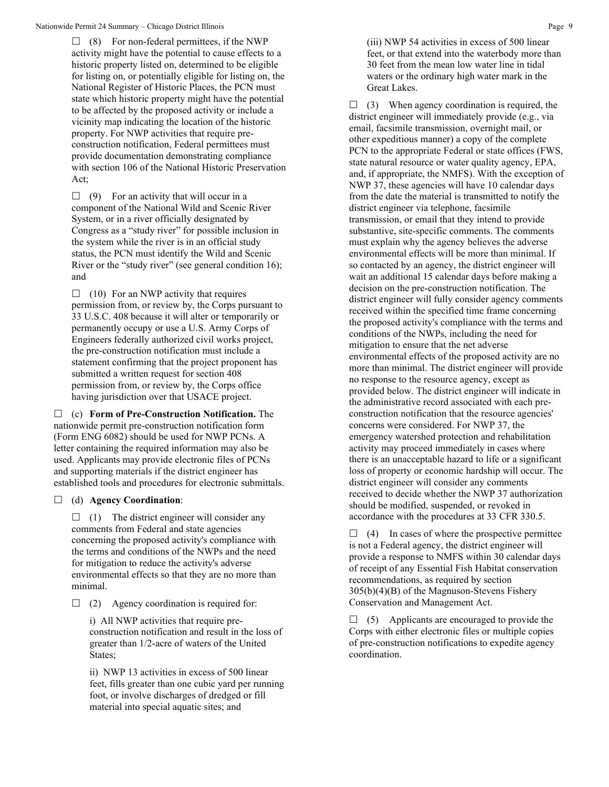$\Box$  (8) For non-federal permittees, if the NWP activity might have the potential to cause effects to a historic property listed on, determined to be eligible for listing on, or potentially eligible for listing on, the National Register of Historic Places, the PCN must state which historic property might have the potential to be affected by the proposed activity or include a vicinity map indicating the location of the historic property. For NWP activities that require preconstruction notification, Federal permittees must provide documentation demonstrating compliance with section 106 of the National Historic Preservation Act;

 $\Box$  (9) For an activity that will occur in a component of the National Wild and Scenic River System, or in a river officially designated by Congress as a "study river" for possible inclusion in the system while the river is in an official study status, the PCN must identify the Wild and Scenic River or the "study river" (see general condition 16); and

 $\Box$  (10) For an NWP activity that requires permission from, or review by, the Corps pursuant to 33 U.S.C. 408 because it will alter or temporarily or permanently occupy or use a U.S. Army Corps of Engineers federally authorized civil works project, the pre-construction notification must include a statement confirming that the project proponent has submitted a written request for section 408 permission from, or review by, the Corps office having jurisdiction over that USACE project.

 (c) **Form of Pre-Construction Notification.** The nationwide permit pre-construction notification form (Form ENG 6082) should be used for NWP PCNs. A letter containing the required information may also be used. Applicants may provide electronic files of PCNs and supporting materials if the district engineer has established tools and procedures for electronic submittals.

## (d) **Agency Coordination**:

 $\Box$  (1) The district engineer will consider any comments from Federal and state agencies concerning the proposed activity's compliance with the terms and conditions of the NWPs and the need for mitigation to reduce the activity's adverse environmental effects so that they are no more than minimal.

 $\Box$  (2) Agency coordination is required for:

i) All NWP activities that require preconstruction notification and result in the loss of greater than 1/2-acre of waters of the United States;

ii) NWP 13 activities in excess of 500 linear feet, fills greater than one cubic yard per running foot, or involve discharges of dredged or fill material into special aquatic sites; and

(iii) NWP 54 activities in excess of 500 linear feet, or that extend into the waterbody more than 30 feet from the mean low water line in tidal waters or the ordinary high water mark in the Great Lakes.

 $\Box$  (3) When agency coordination is required, the district engineer will immediately provide (e.g., via email, facsimile transmission, overnight mail, or other expeditious manner) a copy of the complete PCN to the appropriate Federal or state offices (FWS, state natural resource or water quality agency, EPA, and, if appropriate, the NMFS). With the exception of NWP 37, these agencies will have 10 calendar days from the date the material is transmitted to notify the district engineer via telephone, facsimile transmission, or email that they intend to provide substantive, site-specific comments. The comments must explain why the agency believes the adverse environmental effects will be more than minimal. If so contacted by an agency, the district engineer will wait an additional 15 calendar days before making a decision on the pre-construction notification. The district engineer will fully consider agency comments received within the specified time frame concerning the proposed activity's compliance with the terms and conditions of the NWPs, including the need for mitigation to ensure that the net adverse environmental effects of the proposed activity are no more than minimal. The district engineer will provide no response to the resource agency, except as provided below. The district engineer will indicate in the administrative record associated with each preconstruction notification that the resource agencies' concerns were considered. For NWP 37, the emergency watershed protection and rehabilitation activity may proceed immediately in cases where there is an unacceptable hazard to life or a significant loss of property or economic hardship will occur. The district engineer will consider any comments received to decide whether the NWP 37 authorization should be modified, suspended, or revoked in accordance with the procedures at 33 CFR 330.5.

 $\Box$  (4) In cases of where the prospective permittee is not a Federal agency, the district engineer will provide a response to NMFS within 30 calendar days of receipt of any Essential Fish Habitat conservation recommendations, as required by section 305(b)(4)(B) of the Magnuson-Stevens Fishery Conservation and Management Act.

 $\Box$  (5) Applicants are encouraged to provide the Corps with either electronic files or multiple copies of pre-construction notifications to expedite agency coordination.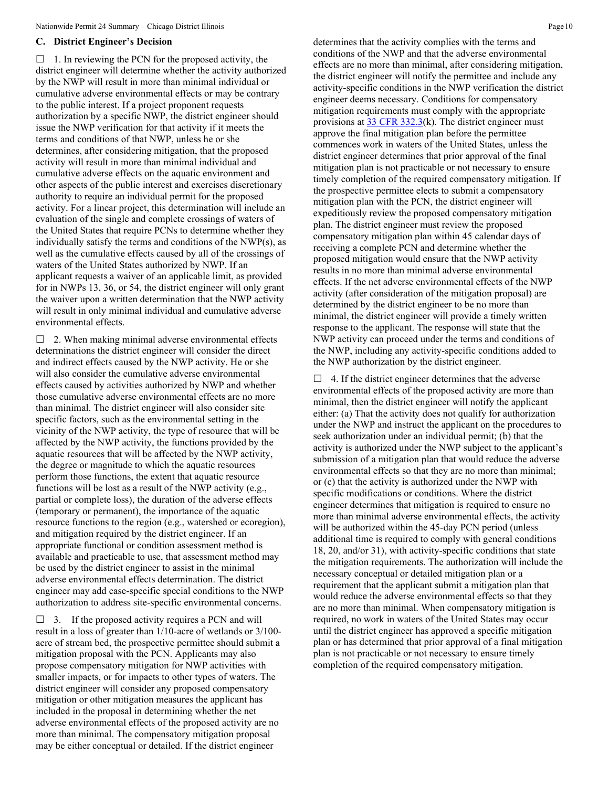#### **C. District Engineer's Decision**

 $\Box$  1. In reviewing the PCN for the proposed activity, the district engineer will determine whether the activity authorized by the NWP will result in more than minimal individual or cumulative adverse environmental effects or may be contrary to the public interest. If a project proponent requests authorization by a specific NWP, the district engineer should issue the NWP verification for that activity if it meets the terms and conditions of that NWP, unless he or she determines, after considering mitigation, that the proposed activity will result in more than minimal individual and cumulative adverse effects on the aquatic environment and other aspects of the public interest and exercises discretionary authority to require an individual permit for the proposed activity. For a linear project, this determination will include an evaluation of the single and complete crossings of waters of the United States that require PCNs to determine whether they individually satisfy the terms and conditions of the NWP(s), as well as the cumulative effects caused by all of the crossings of waters of the United States authorized by NWP. If an applicant requests a waiver of an applicable limit, as provided for in NWPs 13, 36, or 54, the district engineer will only grant the waiver upon a written determination that the NWP activity will result in only minimal individual and cumulative adverse environmental effects.

 $\Box$  2. When making minimal adverse environmental effects determinations the district engineer will consider the direct and indirect effects caused by the NWP activity. He or she will also consider the cumulative adverse environmental effects caused by activities authorized by NWP and whether those cumulative adverse environmental effects are no more than minimal. The district engineer will also consider site specific factors, such as the environmental setting in the vicinity of the NWP activity, the type of resource that will be affected by the NWP activity, the functions provided by the aquatic resources that will be affected by the NWP activity, the degree or magnitude to which the aquatic resources perform those functions, the extent that aquatic resource functions will be lost as a result of the NWP activity (e.g., partial or complete loss), the duration of the adverse effects (temporary or permanent), the importance of the aquatic resource functions to the region (e.g., watershed or ecoregion), and mitigation required by the district engineer. If an appropriate functional or condition assessment method is available and practicable to use, that assessment method may be used by the district engineer to assist in the minimal adverse environmental effects determination. The district engineer may add case-specific special conditions to the NWP authorization to address site-specific environmental concerns.

 $\Box$  3. If the proposed activity requires a PCN and will result in a loss of greater than 1/10-acre of wetlands or 3/100 acre of stream bed, the prospective permittee should submit a mitigation proposal with the PCN. Applicants may also propose compensatory mitigation for NWP activities with smaller impacts, or for impacts to other types of waters. The district engineer will consider any proposed compensatory mitigation or other mitigation measures the applicant has included in the proposal in determining whether the net adverse environmental effects of the proposed activity are no more than minimal. The compensatory mitigation proposal may be either conceptual or detailed. If the district engineer

determines that the activity complies with the terms and conditions of the NWP and that the adverse environmental effects are no more than minimal, after considering mitigation, the district engineer will notify the permittee and include any activity-specific conditions in the NWP verification the district engineer deems necessary. Conditions for compensatory mitigation requirements must comply with the appropriate provisions at  $33$  CFR 332.3(k). The district engineer must approve the final mitigation plan before the permittee commences work in waters of the United States, unless the district engineer determines that prior approval of the final mitigation plan is not practicable or not necessary to ensure timely completion of the required compensatory mitigation. If the prospective permittee elects to submit a compensatory mitigation plan with the PCN, the district engineer will expeditiously review the proposed compensatory mitigation plan. The district engineer must review the proposed compensatory mitigation plan within 45 calendar days of receiving a complete PCN and determine whether the proposed mitigation would ensure that the NWP activity results in no more than minimal adverse environmental effects. If the net adverse environmental effects of the NWP activity (after consideration of the mitigation proposal) are determined by the district engineer to be no more than minimal, the district engineer will provide a timely written response to the applicant. The response will state that the NWP activity can proceed under the terms and conditions of the NWP, including any activity-specific conditions added to the NWP authorization by the district engineer.

 $\Box$  4. If the district engineer determines that the adverse environmental effects of the proposed activity are more than minimal, then the district engineer will notify the applicant either: (a) That the activity does not qualify for authorization under the NWP and instruct the applicant on the procedures to seek authorization under an individual permit; (b) that the activity is authorized under the NWP subject to the applicant's submission of a mitigation plan that would reduce the adverse environmental effects so that they are no more than minimal; or (c) that the activity is authorized under the NWP with specific modifications or conditions. Where the district engineer determines that mitigation is required to ensure no more than minimal adverse environmental effects, the activity will be authorized within the 45-day PCN period (unless additional time is required to comply with general conditions 18, 20, and/or 31), with activity-specific conditions that state the mitigation requirements. The authorization will include the necessary conceptual or detailed mitigation plan or a requirement that the applicant submit a mitigation plan that would reduce the adverse environmental effects so that they are no more than minimal. When compensatory mitigation is required, no work in waters of the United States may occur until the district engineer has approved a specific mitigation plan or has determined that prior approval of a final mitigation plan is not practicable or not necessary to ensure timely completion of the required compensatory mitigation.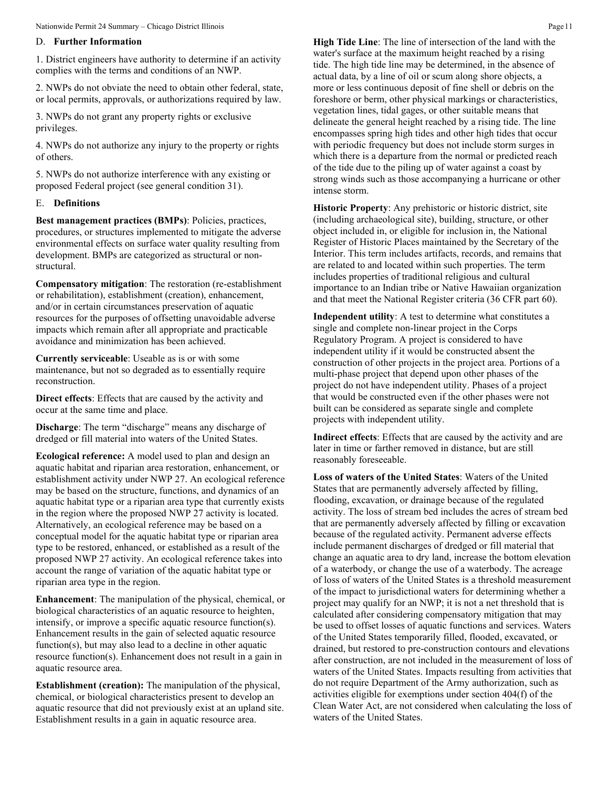### D. **Further Information**

1. District engineers have authority to determine if an activity complies with the terms and conditions of an NWP.

2. NWPs do not obviate the need to obtain other federal, state, or local permits, approvals, or authorizations required by law.

3. NWPs do not grant any property rights or exclusive privileges.

4. NWPs do not authorize any injury to the property or rights of others.

5. NWPs do not authorize interference with any existing or proposed Federal project (see general condition 31).

#### E. **Definitions**

**Best management practices (BMPs)**: Policies, practices, procedures, or structures implemented to mitigate the adverse environmental effects on surface water quality resulting from development. BMPs are categorized as structural or nonstructural.

**Compensatory mitigation**: The restoration (re-establishment or rehabilitation), establishment (creation), enhancement, and/or in certain circumstances preservation of aquatic resources for the purposes of offsetting unavoidable adverse impacts which remain after all appropriate and practicable avoidance and minimization has been achieved.

**Currently serviceable**: Useable as is or with some maintenance, but not so degraded as to essentially require reconstruction.

**Direct effects**: Effects that are caused by the activity and occur at the same time and place.

**Discharge**: The term "discharge" means any discharge of dredged or fill material into waters of the United States.

**Ecological reference:** A model used to plan and design an aquatic habitat and riparian area restoration, enhancement, or establishment activity under NWP 27. An ecological reference may be based on the structure, functions, and dynamics of an aquatic habitat type or a riparian area type that currently exists in the region where the proposed NWP 27 activity is located. Alternatively, an ecological reference may be based on a conceptual model for the aquatic habitat type or riparian area type to be restored, enhanced, or established as a result of the proposed NWP 27 activity. An ecological reference takes into account the range of variation of the aquatic habitat type or riparian area type in the region.

**Enhancement**: The manipulation of the physical, chemical, or biological characteristics of an aquatic resource to heighten, intensify, or improve a specific aquatic resource function(s). Enhancement results in the gain of selected aquatic resource function(s), but may also lead to a decline in other aquatic resource function(s). Enhancement does not result in a gain in aquatic resource area.

**Establishment (creation):** The manipulation of the physical, chemical, or biological characteristics present to develop an aquatic resource that did not previously exist at an upland site. Establishment results in a gain in aquatic resource area.

**High Tide Line**: The line of intersection of the land with the water's surface at the maximum height reached by a rising tide. The high tide line may be determined, in the absence of actual data, by a line of oil or scum along shore objects, a more or less continuous deposit of fine shell or debris on the foreshore or berm, other physical markings or characteristics, vegetation lines, tidal gages, or other suitable means that delineate the general height reached by a rising tide. The line encompasses spring high tides and other high tides that occur with periodic frequency but does not include storm surges in which there is a departure from the normal or predicted reach of the tide due to the piling up of water against a coast by strong winds such as those accompanying a hurricane or other intense storm.

**Historic Property**: Any prehistoric or historic district, site (including archaeological site), building, structure, or other object included in, or eligible for inclusion in, the National Register of Historic Places maintained by the Secretary of the Interior. This term includes artifacts, records, and remains that are related to and located within such properties. The term includes properties of traditional religious and cultural importance to an Indian tribe or Native Hawaiian organization and that meet the National Register criteria (36 CFR part 60).

**Independent utility**: A test to determine what constitutes a single and complete non-linear project in the Corps Regulatory Program. A project is considered to have independent utility if it would be constructed absent the construction of other projects in the project area. Portions of a multi-phase project that depend upon other phases of the project do not have independent utility. Phases of a project that would be constructed even if the other phases were not built can be considered as separate single and complete projects with independent utility.

**Indirect effects**: Effects that are caused by the activity and are later in time or farther removed in distance, but are still reasonably foreseeable.

**Loss of waters of the United States**: Waters of the United States that are permanently adversely affected by filling, flooding, excavation, or drainage because of the regulated activity. The loss of stream bed includes the acres of stream bed that are permanently adversely affected by filling or excavation because of the regulated activity. Permanent adverse effects include permanent discharges of dredged or fill material that change an aquatic area to dry land, increase the bottom elevation of a waterbody, or change the use of a waterbody. The acreage of loss of waters of the United States is a threshold measurement of the impact to jurisdictional waters for determining whether a project may qualify for an NWP; it is not a net threshold that is calculated after considering compensatory mitigation that may be used to offset losses of aquatic functions and services. Waters of the United States temporarily filled, flooded, excavated, or drained, but restored to pre-construction contours and elevations after construction, are not included in the measurement of loss of waters of the United States. Impacts resulting from activities that do not require Department of the Army authorization, such as activities eligible for exemptions under section 404(f) of the Clean Water Act, are not considered when calculating the loss of waters of the United States.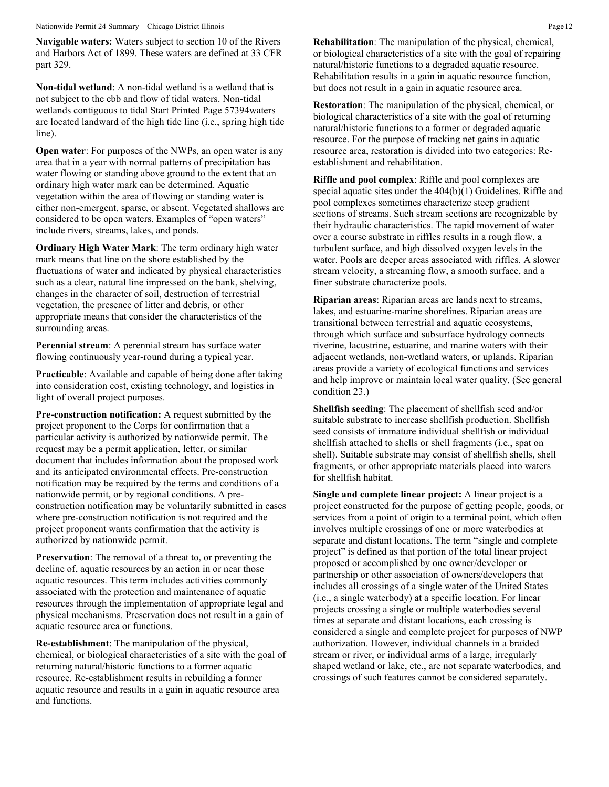Nationwide Permit 24 Summary – Chicago District Illinois Page 12

**Navigable waters:** Waters subject to section 10 of the Rivers and Harbors Act of 1899. These waters are defined at 33 CFR part 329.

**Non-tidal wetland**: A non-tidal wetland is a wetland that is not subject to the ebb and flow of tidal waters. Non-tidal wetlands contiguous to tidal Start Printed Page 57394waters are located landward of the high tide line (i.e., spring high tide line).

**Open water:** For purposes of the NWPs, an open water is any area that in a year with normal patterns of precipitation has water flowing or standing above ground to the extent that an ordinary high water mark can be determined. Aquatic vegetation within the area of flowing or standing water is either non-emergent, sparse, or absent. Vegetated shallows are considered to be open waters. Examples of "open waters" include rivers, streams, lakes, and ponds.

**Ordinary High Water Mark**: The term ordinary high water mark means that line on the shore established by the fluctuations of water and indicated by physical characteristics such as a clear, natural line impressed on the bank, shelving, changes in the character of soil, destruction of terrestrial vegetation, the presence of litter and debris, or other appropriate means that consider the characteristics of the surrounding areas.

**Perennial stream**: A perennial stream has surface water flowing continuously year-round during a typical year.

**Practicable:** Available and capable of being done after taking into consideration cost, existing technology, and logistics in light of overall project purposes.

**Pre-construction notification:** A request submitted by the project proponent to the Corps for confirmation that a particular activity is authorized by nationwide permit. The request may be a permit application, letter, or similar document that includes information about the proposed work and its anticipated environmental effects. Pre-construction notification may be required by the terms and conditions of a nationwide permit, or by regional conditions. A preconstruction notification may be voluntarily submitted in cases where pre-construction notification is not required and the project proponent wants confirmation that the activity is authorized by nationwide permit.

**Preservation**: The removal of a threat to, or preventing the decline of, aquatic resources by an action in or near those aquatic resources. This term includes activities commonly associated with the protection and maintenance of aquatic resources through the implementation of appropriate legal and physical mechanisms. Preservation does not result in a gain of aquatic resource area or functions.

**Re-establishment**: The manipulation of the physical, chemical, or biological characteristics of a site with the goal of returning natural/historic functions to a former aquatic resource. Re-establishment results in rebuilding a former aquatic resource and results in a gain in aquatic resource area and functions.

**Rehabilitation**: The manipulation of the physical, chemical, or biological characteristics of a site with the goal of repairing natural/historic functions to a degraded aquatic resource. Rehabilitation results in a gain in aquatic resource function, but does not result in a gain in aquatic resource area.

**Restoration**: The manipulation of the physical, chemical, or biological characteristics of a site with the goal of returning natural/historic functions to a former or degraded aquatic resource. For the purpose of tracking net gains in aquatic resource area, restoration is divided into two categories: Reestablishment and rehabilitation.

**Riffle and pool complex**: Riffle and pool complexes are special aquatic sites under the 404(b)(1) Guidelines. Riffle and pool complexes sometimes characterize steep gradient sections of streams. Such stream sections are recognizable by their hydraulic characteristics. The rapid movement of water over a course substrate in riffles results in a rough flow, a turbulent surface, and high dissolved oxygen levels in the water. Pools are deeper areas associated with riffles. A slower stream velocity, a streaming flow, a smooth surface, and a finer substrate characterize pools.

**Riparian areas**: Riparian areas are lands next to streams, lakes, and estuarine-marine shorelines. Riparian areas are transitional between terrestrial and aquatic ecosystems, through which surface and subsurface hydrology connects riverine, lacustrine, estuarine, and marine waters with their adjacent wetlands, non-wetland waters, or uplands. Riparian areas provide a variety of ecological functions and services and help improve or maintain local water quality. (See general condition 23.)

**Shellfish seeding**: The placement of shellfish seed and/or suitable substrate to increase shellfish production. Shellfish seed consists of immature individual shellfish or individual shellfish attached to shells or shell fragments (i.e., spat on shell). Suitable substrate may consist of shellfish shells, shell fragments, or other appropriate materials placed into waters for shellfish habitat.

**Single and complete linear project:** A linear project is a project constructed for the purpose of getting people, goods, or services from a point of origin to a terminal point, which often involves multiple crossings of one or more waterbodies at separate and distant locations. The term "single and complete project" is defined as that portion of the total linear project proposed or accomplished by one owner/developer or partnership or other association of owners/developers that includes all crossings of a single water of the United States (i.e., a single waterbody) at a specific location. For linear projects crossing a single or multiple waterbodies several times at separate and distant locations, each crossing is considered a single and complete project for purposes of NWP authorization. However, individual channels in a braided stream or river, or individual arms of a large, irregularly shaped wetland or lake, etc., are not separate waterbodies, and crossings of such features cannot be considered separately.